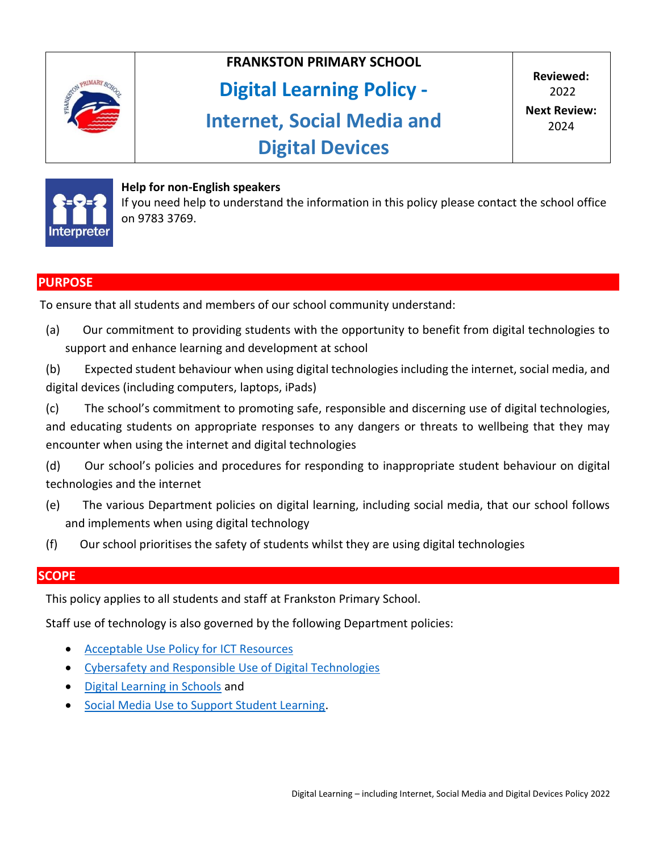

# **FRANKSTON PRIMARY SCHOOL**

# **Digital Learning Policy -**

# **Internet, Social Media and Digital Devices**



#### **Help for non-English speakers**

If you need help to understand the information in this policy please contact the school office on 9783 3769.

# **PURPOSE**

To ensure that all students and members of our school community understand:

(a) Our commitment to providing students with the opportunity to benefit from digital technologies to support and enhance learning and development at school

(b) Expected student behaviour when using digital technologies including the internet, social media, and digital devices (including computers, laptops, iPads)

(c) The school's commitment to promoting safe, responsible and discerning use of digital technologies, and educating students on appropriate responses to any dangers or threats to wellbeing that they may encounter when using the internet and digital technologies

(d) Our school's policies and procedures for responding to inappropriate student behaviour on digital technologies and the internet

- (e) The various Department policies on digital learning, including social media, that our school follows and implements when using digital technology
- (f) Our school prioritises the safety of students whilst they are using digital technologies

# **SCOPE**

This policy applies to all students and staff at Frankston Primary School.

Staff use of technology is also governed by the following Department policies:

- [Acceptable Use Policy for ICT Resources](https://www2.education.vic.gov.au/pal/ict-acceptable-use/overview)
- [Cybersafety and Responsible Use of Digital Technologies](https://www2.education.vic.gov.au/pal/cybersafety/policy)
- [Digital Learning in Schools](https://www2.education.vic.gov.au/pal/digital-learning/policy) and
- **[Social Media Use to Support Student Learning.](https://www2.education.vic.gov.au/pal/social-media/policy)**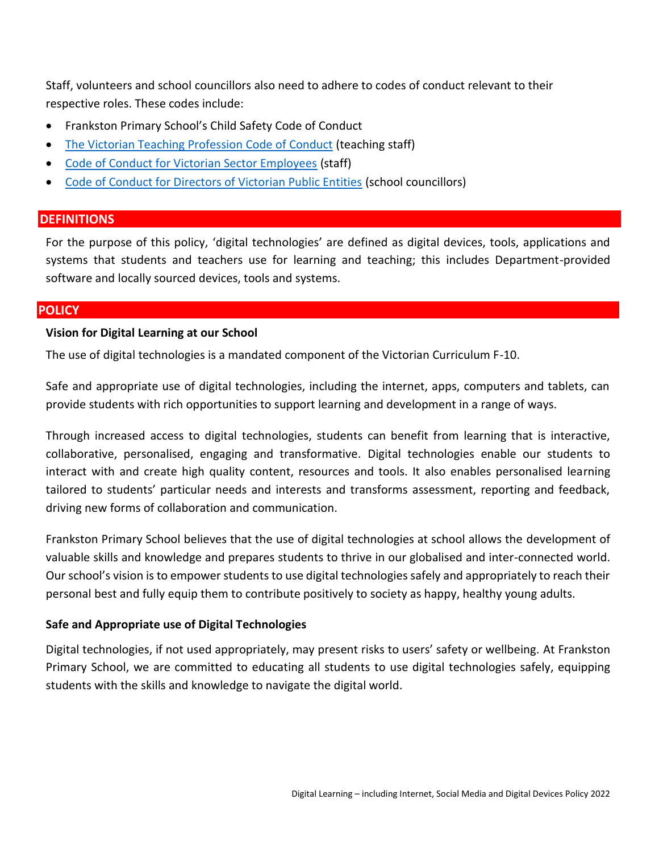Staff, volunteers and school councillors also need to adhere to codes of conduct relevant to their respective roles. These codes include:

- Frankston Primary School's Child Safety Code of Conduct
- [The Victorian Teaching Profession Code of Conduct](https://www.vit.vic.edu.au/__data/assets/pdf_file/0018/35604/Code-of-Conduct-2016.pdf) (teaching staff)
- [Code of Conduct for Victorian Sector Employees](https://www2.education.vic.gov.au/pal/code-conduct/overview) (staff)
- [Code of Conduct for Directors of Victorian Public Entities](https://www2.education.vic.gov.au/pal/school-council-conduct/policy) (school councillors)

# **DEFINITIONS**

For the purpose of this policy, 'digital technologies' are defined as digital devices, tools, applications and systems that students and teachers use for learning and teaching; this includes Department-provided software and locally sourced devices, tools and systems.

#### **POLICY**

#### **Vision for Digital Learning at our School**

The use of digital technologies is a mandated component of the Victorian Curriculum F-10.

Safe and appropriate use of digital technologies, including the internet, apps, computers and tablets, can provide students with rich opportunities to support learning and development in a range of ways.

Through increased access to digital technologies, students can benefit from learning that is interactive, collaborative, personalised, engaging and transformative. Digital technologies enable our students to interact with and create high quality content, resources and tools. It also enables personalised learning tailored to students' particular needs and interests and transforms assessment, reporting and feedback, driving new forms of collaboration and communication.

Frankston Primary School believes that the use of digital technologies at school allows the development of valuable skills and knowledge and prepares students to thrive in our globalised and inter-connected world. Our school's vision is to empower students to use digital technologies safely and appropriately to reach their personal best and fully equip them to contribute positively to society as happy, healthy young adults.

# **Safe and Appropriate use of Digital Technologies**

Digital technologies, if not used appropriately, may present risks to users' safety or wellbeing. At Frankston Primary School, we are committed to educating all students to use digital technologies safely, equipping students with the skills and knowledge to navigate the digital world.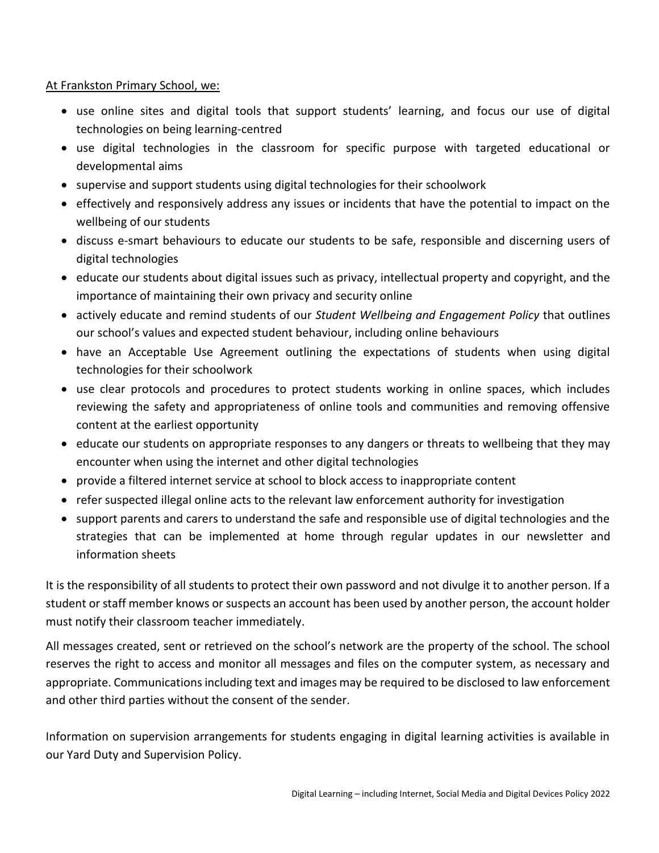# At Frankston Primary School, we:

- use online sites and digital tools that support students' learning, and focus our use of digital technologies on being learning-centred
- use digital technologies in the classroom for specific purpose with targeted educational or developmental aims
- supervise and support students using digital technologies for their schoolwork
- effectively and responsively address any issues or incidents that have the potential to impact on the wellbeing of our students
- discuss e-smart behaviours to educate our students to be safe, responsible and discerning users of digital technologies
- educate our students about digital issues such as privacy, intellectual property and copyright, and the importance of maintaining their own privacy and security online
- actively educate and remind students of our *Student Wellbeing and Engagement Policy* that outlines our school's values and expected student behaviour, including online behaviours
- have an Acceptable Use Agreement outlining the expectations of students when using digital technologies for their schoolwork
- use clear protocols and procedures to protect students working in online spaces, which includes reviewing the safety and appropriateness of online tools and communities and removing offensive content at the earliest opportunity
- educate our students on appropriate responses to any dangers or threats to wellbeing that they may encounter when using the internet and other digital technologies
- provide a filtered internet service at school to block access to inappropriate content
- refer suspected illegal online acts to the relevant law enforcement authority for investigation
- support parents and carers to understand the safe and responsible use of digital technologies and the strategies that can be implemented at home through regular updates in our newsletter and information sheets

It is the responsibility of all students to protect their own password and not divulge it to another person. If a student or staff member knows or suspects an account has been used by another person, the account holder must notify their classroom teacher immediately.

All messages created, sent or retrieved on the school's network are the property of the school. The school reserves the right to access and monitor all messages and files on the computer system, as necessary and appropriate. Communications including text and images may be required to be disclosed to law enforcement and other third parties without the consent of the sender.

Information on supervision arrangements for students engaging in digital learning activities is available in our Yard Duty and Supervision Policy.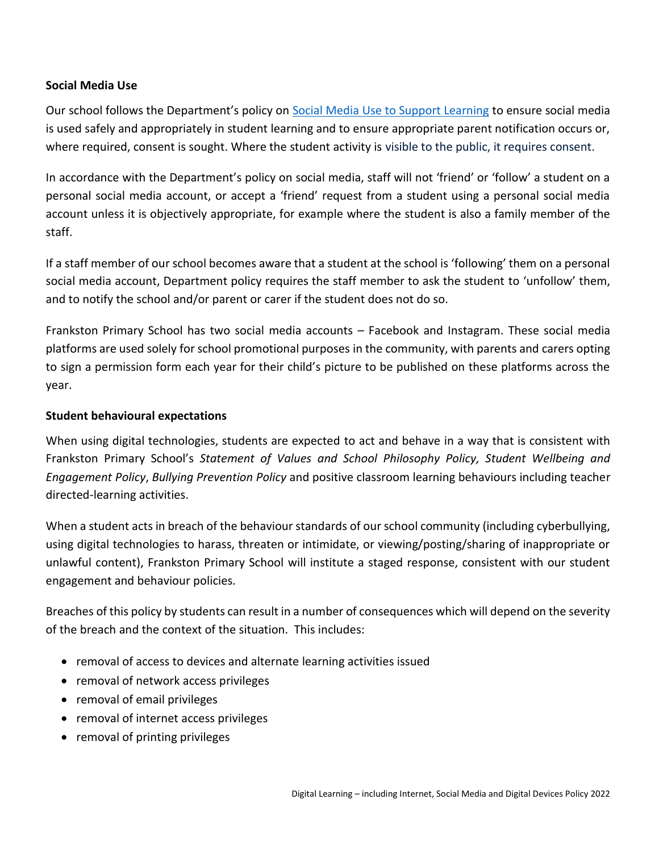#### **Social Media Use**

Our school follows the Department's policy on [Social Media Use to Support Learning](https://www2.education.vic.gov.au/pal/social-media/policy) to ensure social media is used safely and appropriately in student learning and to ensure appropriate parent notification occurs or, where required, consent is sought. Where the student activity is visible to the public, it requires consent.

In accordance with the Department's policy on social media, staff will not 'friend' or 'follow' a student on a personal social media account, or accept a 'friend' request from a student using a personal social media account unless it is objectively appropriate, for example where the student is also a family member of the staff.

If a staff member of our school becomes aware that a student at the school is 'following' them on a personal social media account, Department policy requires the staff member to ask the student to 'unfollow' them, and to notify the school and/or parent or carer if the student does not do so.

Frankston Primary School has two social media accounts – Facebook and Instagram. These social media platforms are used solely for school promotional purposes in the community, with parents and carers opting to sign a permission form each year for their child's picture to be published on these platforms across the year.

#### **Student behavioural expectations**

When using digital technologies, students are expected to act and behave in a way that is consistent with Frankston Primary School's *Statement of Values and School Philosophy Policy, Student Wellbeing and Engagement Policy*, *Bullying Prevention Policy* and positive classroom learning behaviours including teacher directed-learning activities.

When a student acts in breach of the behaviour standards of our school community (including cyberbullying, using digital technologies to harass, threaten or intimidate, or viewing/posting/sharing of inappropriate or unlawful content), Frankston Primary School will institute a staged response, consistent with our student engagement and behaviour policies*.*

Breaches of this policy by students can result in a number of consequences which will depend on the severity of the breach and the context of the situation. This includes:

- removal of access to devices and alternate learning activities issued
- removal of network access privileges
- removal of email privileges
- removal of internet access privileges
- removal of printing privileges